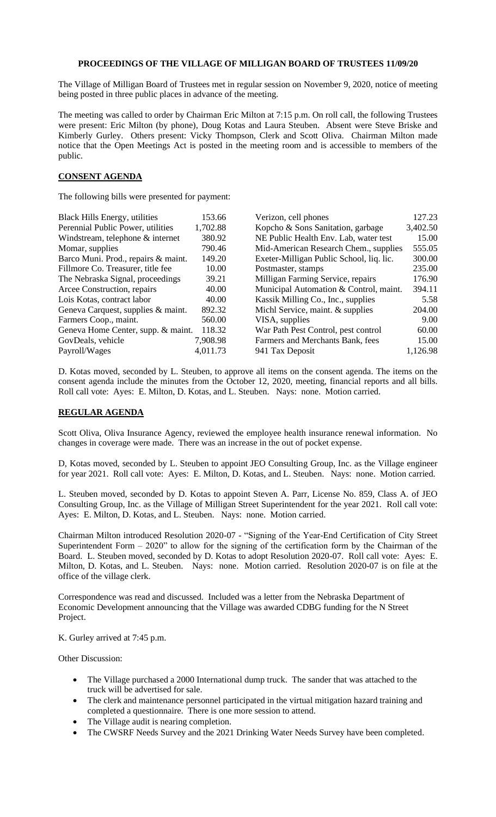## **PROCEEDINGS OF THE VILLAGE OF MILLIGAN BOARD OF TRUSTEES 11/09/20**

The Village of Milligan Board of Trustees met in regular session on November 9, 2020, notice of meeting being posted in three public places in advance of the meeting.

The meeting was called to order by Chairman Eric Milton at 7:15 p.m. On roll call, the following Trustees were present: Eric Milton (by phone), Doug Kotas and Laura Steuben. Absent were Steve Briske and Kimberly Gurley. Others present: Vicky Thompson, Clerk and Scott Oliva. Chairman Milton made notice that the Open Meetings Act is posted in the meeting room and is accessible to members of the public.

## **CONSENT AGENDA**

The following bills were presented for payment:

| <b>Black Hills Energy, utilities</b> | 153.66   | Verizon, cell phones                     | 127.23   |
|--------------------------------------|----------|------------------------------------------|----------|
| Perennial Public Power, utilities    | 1,702.88 | Kopcho & Sons Sanitation, garbage        | 3,402.50 |
| Windstream, telephone & internet     | 380.92   | NE Public Health Env. Lab, water test    | 15.00    |
| Momar, supplies                      | 790.46   | Mid-American Research Chem., supplies    | 555.05   |
| Barco Muni. Prod., repairs & maint.  | 149.20   | Exeter-Milligan Public School, liq. lic. | 300.00   |
| Fillmore Co. Treasurer, title fee    | 10.00    | Postmaster, stamps                       | 235.00   |
| The Nebraska Signal, proceedings     | 39.21    | Milligan Farming Service, repairs        | 176.90   |
| Arcee Construction, repairs          | 40.00    | Municipal Automation & Control, maint.   | 394.11   |
| Lois Kotas, contract labor           | 40.00    | Kassik Milling Co., Inc., supplies       | 5.58     |
| Geneva Carquest, supplies & maint.   | 892.32   | Michl Service, maint. & supplies         | 204.00   |
| Farmers Coop., maint.                | 560.00   | VISA, supplies                           | 9.00     |
| Geneva Home Center, supp. & maint.   | 118.32   | War Path Pest Control, pest control      | 60.00    |
| GovDeals, vehicle                    | 7,908.98 | Farmers and Merchants Bank, fees         | 15.00    |
| Payroll/Wages                        | 4,011.73 | 941 Tax Deposit                          | 1,126.98 |

D. Kotas moved, seconded by L. Steuben, to approve all items on the consent agenda. The items on the consent agenda include the minutes from the October 12, 2020, meeting, financial reports and all bills. Roll call vote: Ayes: E. Milton, D. Kotas, and L. Steuben. Nays: none. Motion carried.

## **REGULAR AGENDA**

Scott Oliva, Oliva Insurance Agency, reviewed the employee health insurance renewal information. No changes in coverage were made. There was an increase in the out of pocket expense.

D, Kotas moved, seconded by L. Steuben to appoint JEO Consulting Group, Inc. as the Village engineer for year 2021. Roll call vote: Ayes: E. Milton, D. Kotas, and L. Steuben. Nays: none. Motion carried.

L. Steuben moved, seconded by D. Kotas to appoint Steven A. Parr, License No. 859, Class A. of JEO Consulting Group, Inc. as the Village of Milligan Street Superintendent for the year 2021. Roll call vote: Ayes: E. Milton, D. Kotas, and L. Steuben. Nays: none. Motion carried.

Chairman Milton introduced Resolution 2020-07 - "Signing of the Year-End Certification of City Street Superintendent Form  $-2020$ " to allow for the signing of the certification form by the Chairman of the Board. L. Steuben moved, seconded by D. Kotas to adopt Resolution 2020-07. Roll call vote: Ayes: E. Milton, D. Kotas, and L. Steuben. Nays: none. Motion carried. Resolution 2020-07 is on file at the office of the village clerk.

Correspondence was read and discussed. Included was a letter from the Nebraska Department of Economic Development announcing that the Village was awarded CDBG funding for the N Street Project.

K. Gurley arrived at 7:45 p.m.

Other Discussion:

- The Village purchased a 2000 International dump truck. The sander that was attached to the truck will be advertised for sale.
- The clerk and maintenance personnel participated in the virtual mitigation hazard training and completed a questionnaire. There is one more session to attend.
- The Village audit is nearing completion.
- The CWSRF Needs Survey and the 2021 Drinking Water Needs Survey have been completed.